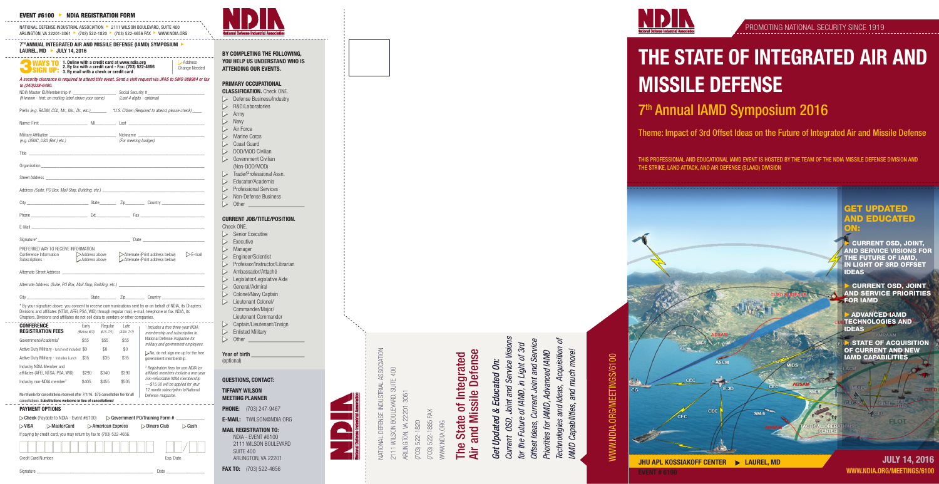

 $SM-6$ 

- 20

**CEC** 

**JULY 14, 2016** EVENT # 6100 WWW.NDIA.ORG/MEETINGS/6100

NATIONAL DEFENSE INDUSTRIAL ASSOCIATION 2111 WILSON BOULEVARD, SUITE 400 ARLINGTON, VA 22201-3061 111 WILSON BOULEVARD, JRLINGTON, VA 22201-(703) 522-1885 FAX 703) 522-1885 FAX **DEFENSE** 703) 522-1820 **VWW.NDIA.ORG** (703) 522-1820 WWW.NDIA.ORG **ATIONAL** 

**FLOT** 

# Air and Missile Defense The State of Integrated **Defense** of Integrated and Missile The State **Air**

*Current OSD, Joint and Service Visions*  Service Visions *Offset Ideas, Current Joint and Service*   $\varphi$ *Technologies and Ideas, Acquisition of*  Current Joint and Service *for the Future of IAMD, in Light of 3rd*  in Light of 3rd Acquisition *Priorities for IAMD, Advanced IAMD*  AMD Capabilities, and much more! Advanced IAMD *IAMD Capabilities, and much more!* **Educated On:** *Get Updated & Educated On:* Technologies and Ideas, Joint and for the Future of IAMD, IAMD,  $\infty$ Get Updated OSD, Offset Ideas, Priorities for Current

# **MWW.NDIA.ORG/MEETINGS/6100** WWW.NDIA.ORG/MEETINGS/6100



# THE STATE OF INTEGRATED AIR AND MISSILE DEFENSE

CEC

# 7th Annual IAMD Symposium 2016

- Check ONE.
- $\triangleright$  Senior Executive  $\triangleright$  Executive
- $\triangleright$  Manager
- Engineer/Scientist
- Professor/Instructor/Librarian
- Ambassador/Attaché
- Legislator/Legislative Aide
- General/Admiral
- $\triangleright$  Colonel/Navy Captain
- $\triangleright$  Lieutenant Colonel/ Commander/Major/ Lieutenant Commander
- Captain/Lieutenant/Ensign
- **Enlisted Military**  $\ge$  Enliste<br> $\ge$  Other
- 

Year of birth<br>(optional)

## Theme: Impact of 3rd Offset Ideas on the Future of Integrated Air and Missile Defense

THIS PROFESSIONAL AND EDUCATIONAL IAMD EVENT IS HOSTED BY THE TEAM OF THE NDIA MISSILE DEFENSE DIVISION AND THE STRIKE, LAND ATTACK, AND AIR DEFENSE (SLAAD) DIVISION

**PHONE:** (703) 247-9467 E-MAIL: TWILSON@NDIA.ORG

BY COMPLETING THE FOLLOWING, YOU HELP US UNDERSTAND WHO IS ATTENDING OUR EVENTS.

#### PRIMARY OCCUPATIONAL

- **CLASSIFICATION.** Check ONE  $\triangleright$  Defense Business/Industry
- $\triangleright$  R&D/Laboratories
- $\triangleright$  Army Navy
- $\triangleright$  Air Force
- $>$  Marine Corps Coast Guard
- DOD/MOD Civilian
- $\triangleright$  Government Civilian
- (Non-DOD/MOD)
- $\triangleright$  Trade/Professional Assn.
- Educator/Academia **Professional Services**
- $\triangleright$  Non-Defense Business
- $\triangleright$  Other

| 7TH ANNUAL INTEGRATED AIR AND MISSILE DEFENSE (IAMD) SYMPOSIUM |  |
|----------------------------------------------------------------|--|
| LAUREL, MD $\rightarrow$ JULY 14, 2016                         |  |
|                                                                |  |

#### CURRENT JOB/TITLE/POSITION.

QUESTIONS, CONTACT:

TIFFANY WILSON MEETING PLANNER

MAIL REGISTRATION TO: NDIA - EVENT #6100 2111 WILSON BOULEVARD SUITE 400 ARLINGTON, VA 22201

FAX TO: (703) 522-4656



#### EVENT #6100 <sup>u</sup> NDIA REGISTRATION FORM

NATIONAL DEFENSE INDUSTRIAL ASSOCIATION > 2111 WILSON BOULEVARD, SUITE 400 ARLINGTON, VA 22201-3061 ▶ (703) 522-1820 ▶ (703) 522-4656 FAX ▶ WWW.NDIA.ORG

| (If known - hint: on mailing label above your name)                                             |               | (Last 4 digits - optional)                                                                                                                                                                                                           |  |  |  |
|-------------------------------------------------------------------------------------------------|---------------|--------------------------------------------------------------------------------------------------------------------------------------------------------------------------------------------------------------------------------------|--|--|--|
|                                                                                                 |               | Prefix (e.g. RADM, COL, Mr., Ms., Dr., etc.) *** U.S. Citizen (Required to attend, please check)                                                                                                                                     |  |  |  |
|                                                                                                 |               |                                                                                                                                                                                                                                      |  |  |  |
|                                                                                                 |               |                                                                                                                                                                                                                                      |  |  |  |
| (e.g. USMC, USA (Ret.) etc.)                                                                    |               | (For meeting badges)                                                                                                                                                                                                                 |  |  |  |
|                                                                                                 |               |                                                                                                                                                                                                                                      |  |  |  |
|                                                                                                 |               | Organization experience and the contract of the contract of the contract of the contract of the contract of the contract of the contract of the contract of the contract of the contract of the contract of the contract of th       |  |  |  |
|                                                                                                 |               |                                                                                                                                                                                                                                      |  |  |  |
|                                                                                                 |               |                                                                                                                                                                                                                                      |  |  |  |
|                                                                                                 |               |                                                                                                                                                                                                                                      |  |  |  |
|                                                                                                 |               |                                                                                                                                                                                                                                      |  |  |  |
|                                                                                                 |               | E-Mail <b>E-Mail And All and All and All and All and All and All and All and All and All and All and All and All and All and All and All and All and All and All and All and All and All and All and All and All and All and All</b> |  |  |  |
|                                                                                                 |               |                                                                                                                                                                                                                                      |  |  |  |
| PREFERRED WAY TO RECEIVE INFORMATION<br>Conference Information > Address above<br>Subscriptions | Address above | Alternate (Print address below)<br>$\triangleright$ E-mail<br>Alternate (Print address below)                                                                                                                                        |  |  |  |
|                                                                                                 |               |                                                                                                                                                                                                                                      |  |  |  |
|                                                                                                 |               |                                                                                                                                                                                                                                      |  |  |  |
|                                                                                                 |               |                                                                                                                                                                                                                                      |  |  |  |

Signature \_\_\_\_\_\_\_\_\_\_\_\_\_\_\_\_\_\_\_\_\_\_\_\_\_\_\_\_\_\_\_\_\_\_\_\_\_\_\_\_\_\_\_\_\_\_\_\_\_ Date \_\_\_\_\_\_\_\_\_\_\_\_\_\_\_\_



**CURRENT OSD, JOINT,** AND SERVICE VISIONS FOR THE FUTURE OF IAMD, IN LIGHT OF 3RD OFFSET IDEAS

**CURRENT OSD, JOINT** AND SERVICE PRIORITIES FOR IAMD

**ADVANCED IAMD** TECHNOLOGIES AND IDEAS

**USTATE OF ACQUISITION** OF CURRENT AND NEW IAMD CAPABILITIES

City \_\_\_\_\_\_\_\_\_\_\_\_\_\_\_\_\_\_\_\_\_\_\_\_\_\_ State\_\_\_\_\_\_\_ Zip\_\_\_\_\_\_\_\_ Country \_\_\_\_\_\_\_\_\_\_\_\_\_\_\_\_\_\_ \* By your signature above, you consent to receive communications sent by or on behalf of NDIA, its Chapters, Divisions and affiliates (NTSA, AFEI, PSA, WID) through regular mail, e-mail, telephone or fax. NDIA, its Chapters, Divisions and affiliates do not sell data to vendors or other companies.

 $\sim 100$ 

 $\sim$   $\sim$   $\sim$ 

| <b>CONFERENCE</b><br><b>REGISTRATION FEES</b>                                                                                                                                 | Early<br>(Before 6/3) | Regular<br>$(6/3 - 7/1)$          | I ate<br>(After 7/1) | <sup>1</sup> Includes a free three-year NDIA<br>membership and subscription to                                                                                  |                       |  |  |  |
|-------------------------------------------------------------------------------------------------------------------------------------------------------------------------------|-----------------------|-----------------------------------|----------------------|-----------------------------------------------------------------------------------------------------------------------------------------------------------------|-----------------------|--|--|--|
| Government/Academia <sup>1</sup>                                                                                                                                              | \$55                  | \$55                              | \$55                 | National Defense magazine for<br>military and government employees.                                                                                             |                       |  |  |  |
| Active Duty Military - lunch not included \$0                                                                                                                                 |                       | \$0                               | \$0                  | $>$ No, do not sign me up for the free                                                                                                                          |                       |  |  |  |
| Active Duty Military - includes Lunch                                                                                                                                         | \$35                  | \$35                              | \$35                 | government membership.                                                                                                                                          |                       |  |  |  |
| Industry NDIA Member and<br>affiliates (AFEI, NTSA, PSA, WID)                                                                                                                 | \$290                 | \$340                             | \$390                | <sup>2</sup> Registration fees for non-NDIA (or<br>affiliate) members include a one-year<br>non-refundable NDIA membership<br>-\$15.00 will be applied for your |                       |  |  |  |
| Industry non-NDIA member <sup>2</sup>                                                                                                                                         | \$405                 | \$455                             | \$505                |                                                                                                                                                                 |                       |  |  |  |
| No refunds for cancellations received after 7/1/16. \$75 cancellation fee for all<br>cancellations. Substitutions welcome in lieu of cancellations!<br><b>PAYMENT OPTIONS</b> |                       |                                   |                      | 12 month subscription to National<br>Defense magazine.                                                                                                          |                       |  |  |  |
| $\triangleright$ Check (Payable to NDIA - Event #6100)                                                                                                                        |                       |                                   |                      | $\triangleright$ Government PO/Training Form #                                                                                                                  |                       |  |  |  |
| $>$ MasterCard<br>⊳VISA                                                                                                                                                       |                       | $\triangleright$ American Express |                      | $\triangleright$ Diners Club                                                                                                                                    | $\triangleright$ Cash |  |  |  |
| If paying by credit card, you may return by fax to (703) 522-4656.                                                                                                            |                       |                                   |                      |                                                                                                                                                                 |                       |  |  |  |
|                                                                                                                                                                               |                       |                                   |                      |                                                                                                                                                                 |                       |  |  |  |

Credit Card Number **Exp.** Date

#### GET UPDATED **ND EDUCATED** ON:

#### *A security clearance is required to attend this event. Send a visit request via JPAS to SMO 888984 or fax to (240)228-6400.*